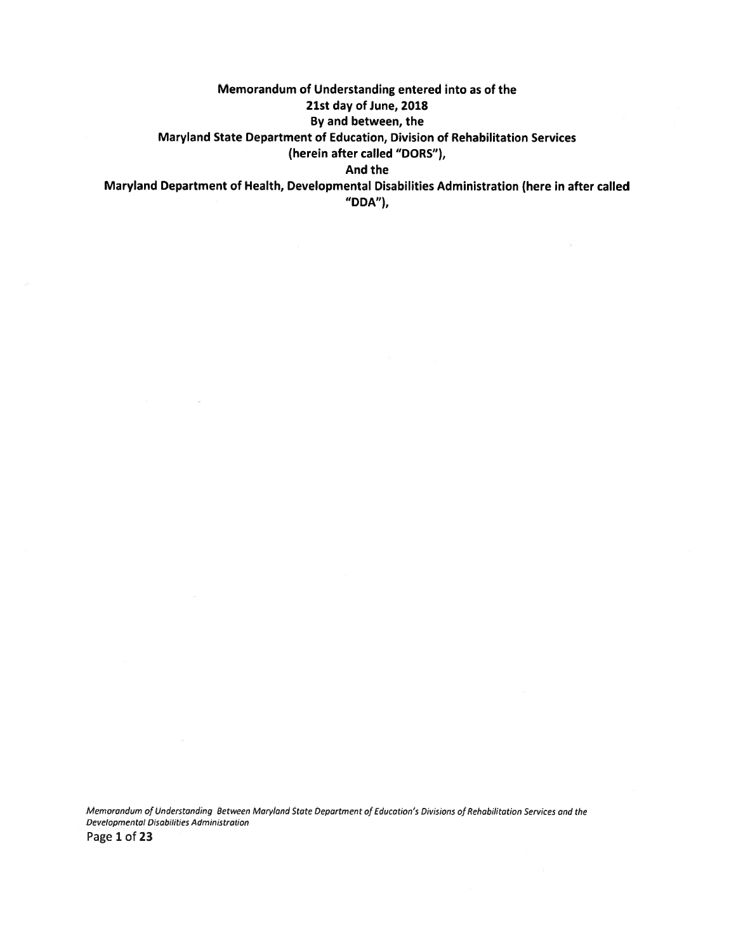# Memorandum of Understanding entered into as of the 21st day of June, 2018 By and between, the Maryland State Department of Education, Division of Rehabilitation Services (herein after called "DORS"), And the

Maryland Department of Health, Developmental Disabilities Administration (here in after called "DDA"),

Memorandum of Understanding Between Maryland State Department of Education's Divisions of Rehabilitation Services and the Developmental Disabilities Administration

Page 1 of 23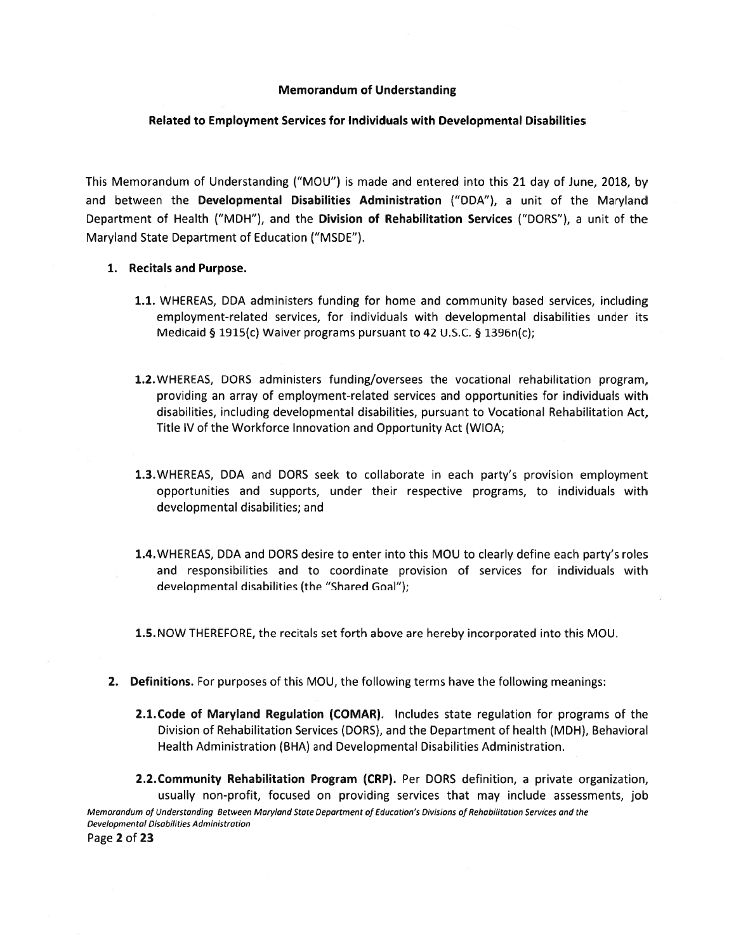#### Memorandum of Understanding

#### Related to Employment Services for Individuals with Developmental Disabilities

This Memorandum of Understanding ("MOU") is made and entered into this 21 day of June, 2018, by and between the Developmental Disabilities Administration ("DDA"), <sup>a</sup> unit of the Maryland Department of Health ("MDH"), and the Division of Rehabilitation Services ("DORS"), <sup>a</sup> unit of the Maryland State Department of Education ("MSDE").

#### 1. Recitals and Purpose.

- 1.1. WHEREAS, DDA administers funding for home and community based services, including employment-related services, for individuals with developmental disabilities under its Medicaid § 1915(c) Waiver programs pursuan<sup>t</sup> to <sup>42</sup> U.S.C. § 1396n(c);
- 1.2.WHEREAS, DORS administers funding/oversees the vocational rehabilitation program, providing an array of employment-related services and opportunities for individuals with disabilities, including developmental disabilities, pursuan<sup>t</sup> to Vocational Rehabilitation Act, Title IV of the Workforce Innovation and Opportunity Act (WIOA;
- 1.3.WHEREAS, DDA and DORS seek to collaborate in each party's provision employment opportunities and supports, under their respective programs, to individuals with developmental disabilities; and
- 1.4.WHEREAS, DDA and DORS desire to enter into this MOU to clearly define each party's roles and responsibilities and to coordinate provision of services for individuals with developmental disabilities (the "Shared Goal");
- 1.5. NOW THEREFORE, the recitals set forth above are hereby incorporated into this MOU.
- 2. Definitions. For purposes of this MOU, the following terms have the following meanings:
	- 2.1.Code of Maryland Regulation (COMAR). Includes state regulation for programs of the Division of Rehabilitation Services (DORS), and the Department of health (MDH), Behavioral Health Administration (BHA) and Developmental Disabilities Administration.
- 2.2.Community Rehabilitation Program (CRP). Per DORS definition, <sup>a</sup> private organization, usually non-profit, focused on providing services that may include assessments, job Memorandum of Understanding Between Maryland State Department of Education's Divisions of Rehabilitation Services and the Developmental Disabilities Administration Page 2 of 23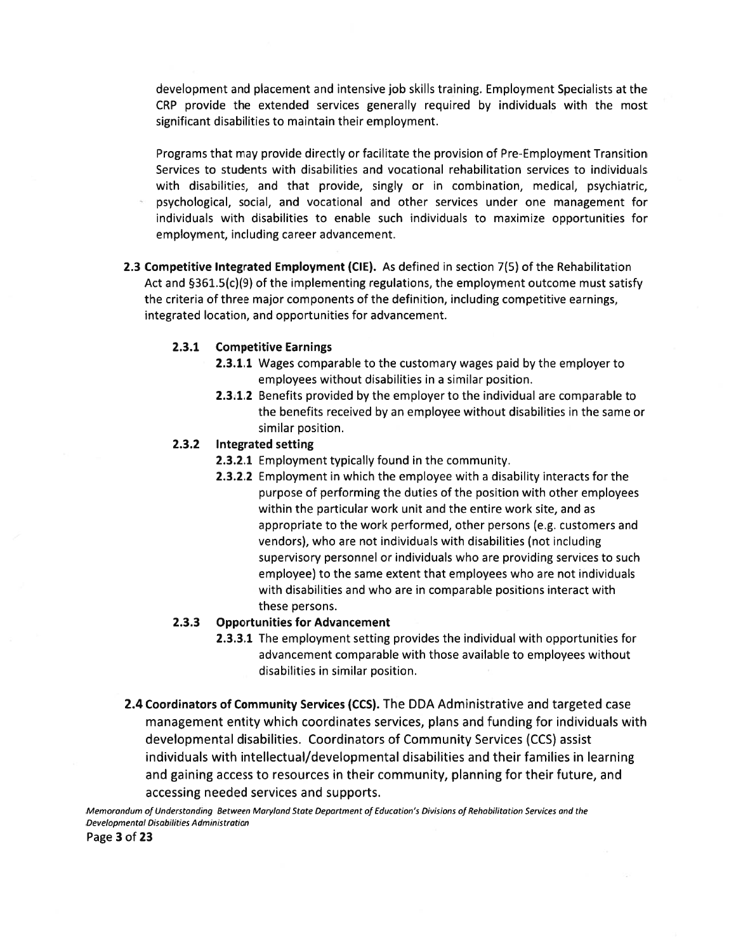development and placement and intensive job skills training. Employment Specialists at the CRP provide the extended services generally required by individuals with the most significant disabilities to maintain their employment.

Programs that may provide directly or facilitate the provision of Pre-Employment Transition Services to students with disabilities and vocational rehabilitation services to individuals with disabilities, and that provide, singly or in combination, medical, psychiatric, psychological, social, and vocational and other services under one managemen<sup>t</sup> for individuals with disabilities to enable such individuals to maximize opportunities for employment, including career advancement.

2.3 Competitive Integrated Employment (CIE). As defined in section 7(5) of the Rehabilitation Act and §361.5(c)(9) of the implementing regulations, the employment outcome must satisfy the criteria of three major components of the definition, including competitive earnings, integrated location, and opportunities for advancement.

## 2.3.1 Competitive Earnings

- 2.3.1.1 Wages comparable to the customary wages paid by the employer to employees without disabilities in <sup>a</sup> similar position.
- 2.3.1.2 Benefits provided by the employer to the individual are comparable to the benefits received by an employee without disabilities in the same or similar position.

#### 2.3.2 Integrated setting

- 2.3.2.1 Employment typically found in the community.
- 2.3.2.2 Employment in which the employee with <sup>a</sup> disability interacts for the purpose of performing the duties of the position with other employees within the particular work unit and the entire work site, and as appropriate to the work performed, other persons (e.g. customers and vendors), who are not individuals with disabilities (not including supervisory personnel or individuals who are providing services to such employee) to the same extent that employees who are not individuals with disabilities and who are in comparable positions interact with these persons.

### 2.3.3 Opportunities for Advancement

- 2.3.3.1 The employment setting provides the individual with opportunities for advancement comparable with those available to employees without disabilities in similar position.
- 2.4 Coordinators of Community Services (CCS). The DDA Administrative and targeted case managemen<sup>t</sup> entity which coordinates services, plans and funding for individuals with developmental disabilities. Coordinators of Community Services (CCS) assist individuals with intellectual/developmental disabilities and their families in learning and gaining access to resources in their community, planning for their future, and accessing needed services and supports.

Memorandum of Understanding Retween Maryland State Department of Education's Divisions of Rehabilitation Services and the Developmental Disabilities Administration

Page 3 of 23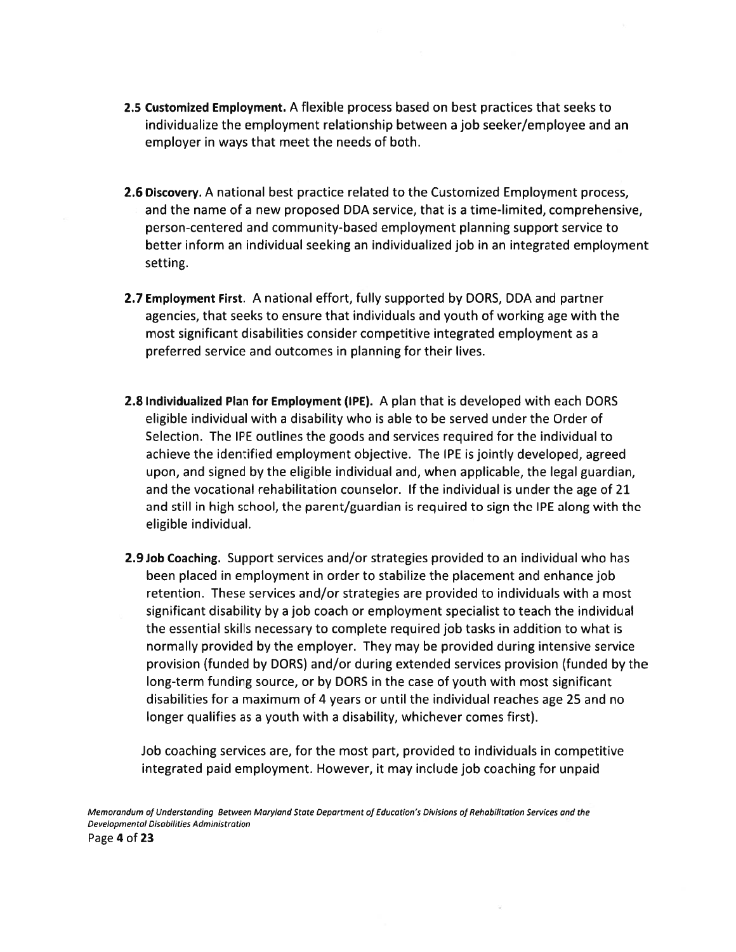- 2.5 Customized Employment. A flexible process based on best practices that seeks to individualize the employment relationship between <sup>a</sup> job seeker/employee and an employer in ways that meet the needs of both.
- 2.6 Discovery. A national best practice related to the Customized Employment process, and the name of <sup>a</sup> new proposed DDA service, that is <sup>a</sup> time-limited, comprehensive, person-centered and community-based employment planning suppor<sup>t</sup> service to better inform an individual seeking an individualized job in an integrated employment setting.
- 2.7 Employment First. A national effort, fully supported by DORS, DDA and partner agencies, that seeks to ensure that individuals and youth of working age with the most significant disabilities consider competitive integrated employment as <sup>a</sup> preferred service and outcomes in planning for their lives.
- 2.8 Individualized Plan for Employment (IPE). A plan that is developed with each DORS eligible individual with <sup>a</sup> disability who is able to be served under the Order of Selection. The IPE outlines the goods and services required for the individual to achieve the identified employment objective. The IPE is jointly developed, agreed upon, and signed by the eligible individual and, when applicable, the legal guardian, and the vocational rehabilitation counselor. If the individual is under the age of 21 and still in high school, the parent/guardian is required to sign the IPE along with the eligible individual.
- 2.9 Job Coaching. Support services and/or strategies provided to an individual who has been placed in employment in order to stabilize the placement and enhance job retention. These services and/or strategies are provided to individuals with <sup>a</sup> most significant disability by <sup>a</sup> job coach or employment specialist to teach the individual the essential skills necessary to complete required job tasks in addition to what is normally provided by the employer. They may be provided during intensive service provision (funded by DORS) and/or during extended services provision (funded by the long-term funding source, or by DORS in the case of youth with most significant disabilities for <sup>a</sup> maximum of 4 years or until the individual reaches age 25 and no longer qualifies as <sup>a</sup> youth with <sup>a</sup> disability, whichever comes first).

Job coaching services are, for the most part, provided to individuals in competitive integrated paid employment. However, it may include job coaching for unpaid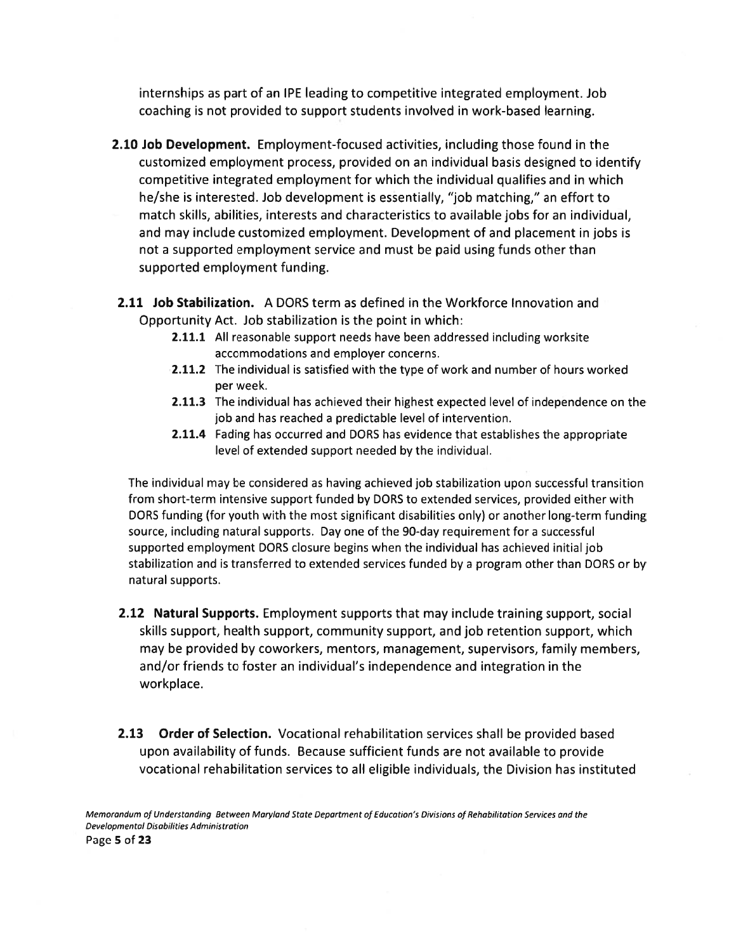internships as par<sup>t</sup> of an IPE leading to competitive integrated employment. Job coaching is not provided to suppor<sup>t</sup> students involved in work-based learning.

- 2.10 Job Development. Employment-focused activities, including those found in the customized employment process, provided on an individual basis designed to identify competitive integrated employment for which the individual qualifies and in which he/she is interested. Job development is essentially, "job matching," an effort to match skills, abilities, interests and characteristics to available jobs for an individual, and may include customized employment. Development of and placement in jobs is not <sup>a</sup> supported employment service and must be paid using funds other than supported employment funding.
- 2.11 Job Stabilization. A DORS term as defined in the Workforce Innovation and Opportunity Act. Job stabilization is the point in which:
	- 2.11.1 All reasonable support needs have been addressed including worksite accommodations and employer concerns.
	- 2.11.2 The individual is satisfied with the type of work and number of hours worked per week.
	- 2.11.3 The individual has achieved their highest expected level of independence on the job and has reached <sup>a</sup> predictable level of intervention.
	- 2.11.4 Fading has occurred and DORS has evidence that establishes the appropriate level of extended suppor<sup>t</sup> needed by the individual.

The individual may be considered as having achieved job stabilization upon successful transition from short-term intensive suppor<sup>t</sup> funded by DORS to extended services, provided either with DORS funding (for youth with the most significant disabilities only) or another long-term funding source, including natural supports. Day one of the 90-day requirement for <sup>a</sup> successful supported employment DORS closure begins when the individual has achieved initial job stabilization and is transferred to extended services funded by <sup>a</sup> program other than DORS or by natural supports.

- 2.12 Natural Supports. Employment supports that may include training support, social skills support, health support, community support, and job retention support, which may be provided by coworkers, mentors, management, supervisors, family members, and/or friends to foster an individual's independence and integration in the workplace.
- 2.13 Order of Selection. Vocational rehabilitation services shall be provided based upon availability of funds. Because sufficient funds are not available to provide vocational rehabilitation services to all eligible individuals, the Division has instituted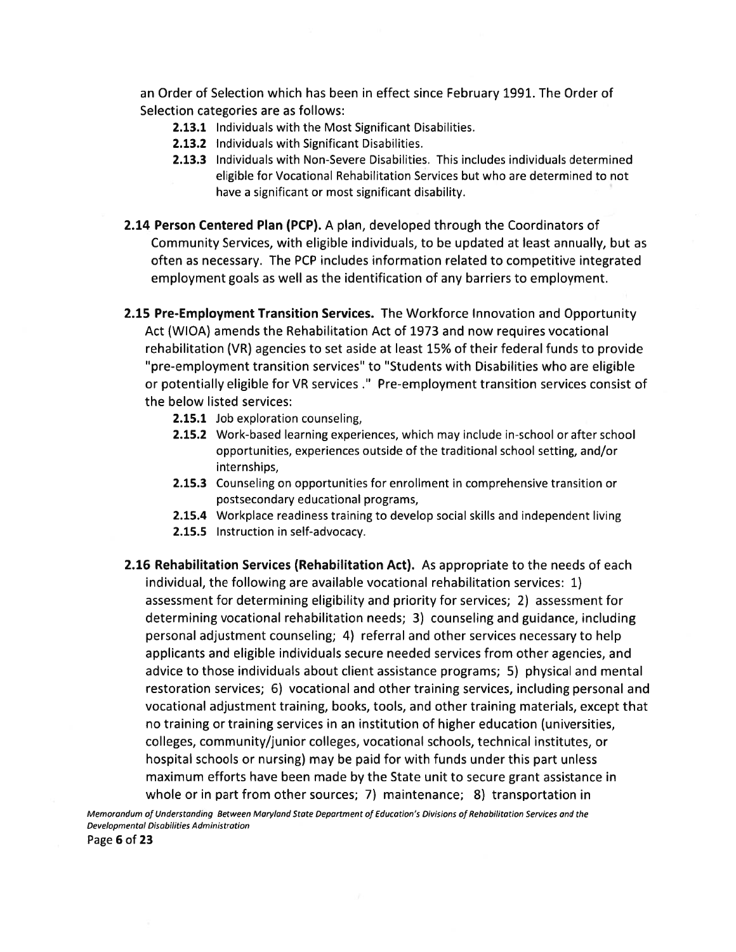an Order of Selection which has been in effect since February 1991. The Order of Selection categories are as follows:

- 2.13.1 Individuals with the Most Significant Disabilities.
- 2.13.2 Individuals with Significant Disabilities.
- 2.13.3 Individuals with Non-Severe Disabilities. This includes individuals determined eligible for Vocational Rehabilitation Services but who are determined to not have <sup>a</sup> significant or most significant disability.
- 2.14 Person Centered Plan (PCP). A plan, developed through the Coordinators of Community Services, with eligible individuals, to be updated at least annually, but as often as necessary. The PCP includes information related to competitive integrated employment goals as well as the identification of any barriers to employment.
- 2.15 Pre-Employment Transition Services. The Workforce Innovation and Opportunity Act (WIOA) amends the Rehabilitation Act of 1973 and now requires vocational rehabilitation (VR) agencies to set aside at least 15% of their federal funds to provide "pre-employment transition services" to "Students with Disabilities who are eligible or potentially eligible for VR services ." Pre-employment transition services consist of the below listed services:
	- 2.15.1 Job exploration counseling,
	- 2.15.2 Work-based learning experiences, which may include in-school or after school opportunities, experiences outside of the traditional school setting, and/or internships,
	- 2.15.3 Counseling on opportunities for enrollment in comprehensive transition or postsecondary educational programs,
	- 2.15.4 Workplace readiness training to develop social skills and independent living
	- 2.15.5 Instruction in self-advocacy.
- 2.16 Rehabilitation Services (Rehabilitation Act). As appropriate to the needs of each individual, the following are available vocational rehabilitation services: 1) assessment for determining eligibility and priority for services; 2) assessment for determining vocational rehabilitation needs; 3) counseling and guidance, including personal adjustment counseling; 4) referral and other services necessary to help applicants and eligible individuals secure needed services from other agencies, and advice to those individuals about client assistance programs; 5) physical and mental restoration services; 6) vocational and other training services, including personal and vocational adjustment training, books, tools, and other training materials, excep<sup>t</sup> that no training or training services in an institution of higher education (universities, colleges, community/junior colleges, vocational schools, technical institutes, or hospital schools or nursing) may be paid for with funds under this par<sup>t</sup> unless maximum efforts have been made by the State unit to secure gran<sup>t</sup> assistance in whole or in par<sup>t</sup> from other sources; 7) maintenance; 8) transportation in

Memorandum of Understanding Between Maryland State Department of Education's Divisions of Rehabilitation Services and the Developmental Disabilities Administration

Page 6 of 23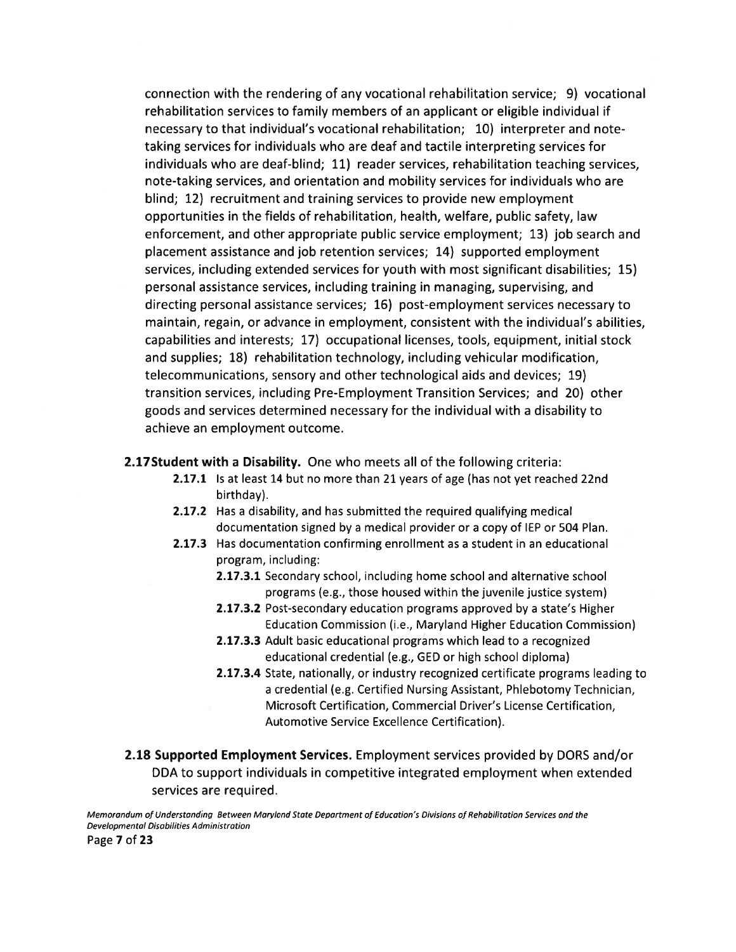connection with the rendering of any vocational rehabilitation service; 9) vocational rehabilitation services to family members of an applicant or eligible individual if necessary to that individual's vocational rehabilitation; 10) interpreter and notetaking services for individuals who are deaf and tactile interpreting services for individuals who are deaf-blind; 11) reader services, rehabilitation teaching services, note-taking services, and orientation and mobility services for individuals who are blind; 12) recruitment and training services to provide new employment opportunities in the fields of rehabilitation, health, welfare, public safety, law enforcement, and other appropriate public service employment; 13) job search and placement assistance and job retention services; 14) supported employment services, including extended services for youth with most significant disabilities; 15) personal assistance services, including training in managing, supervising, and directing personal assistance services; 16) post-employment services necessary to maintain, regain, or advance in employment, consistent with the individual's abilities, capabilities and interests; 17) occupational licenses, tools, equipment, initial stock and supplies; 18) rehabilitation technology, including vehicular modification, telecommunications, sensory and other technological aids and devices; 19) transition services, including Pre-Employment Transition Services; and 20) other goods and services determined necessary for the individual with <sup>a</sup> disability to achieve an employment outcome.

# 2.l7Student with <sup>a</sup> Disability. One who meets all of the following criteria:

- 2.17.1 Is at least 14 but no more than 21 years of age (has not ye<sup>t</sup> reached 22nd birthday).
- 2.17.2 Has <sup>a</sup> disability, and has submitted the required qualifying medical documentation signed by <sup>a</sup> medical provider or <sup>a</sup> copy of IEP or 504 Plan.
- 2.17.3 Has documentation confirming enrollment as <sup>a</sup> student in an educational program, including:
	- 2.17.3.1 Secondary school, including home school and alternative school programs (e.g., those housed within the juvenile justice system)
	- 2.17.3.2 Post-secondary education programs approved by <sup>a</sup> state's Higher Education Commission (i.e., Maryland Higher Education Commission)
	- 2.17.3.3 Adult basic educational programs which lead to a recognized educational credential (e.g., GED or high school diploma)
	- 2.17.3.4 State, nationally, or industry recognized certificate programs leading to <sup>a</sup> credential (e.g. Certified Nursing Assistant, Phlebotomy Technician, Microsoft Certification, Commercial Driver's License Certification, Automotive Service Excellence Certification).
- 2.18 Supported Employment Services. Employment services provided by DORS and/or DDA to suppor<sup>t</sup> individuals in competitive integrated employment when extended services are required.

Memorandum of Understanding Between Maryland State Department of Education <sup>s</sup> Divisions of Rehabilitation Services and the Developmental Disabilities Administration Page 7 of 23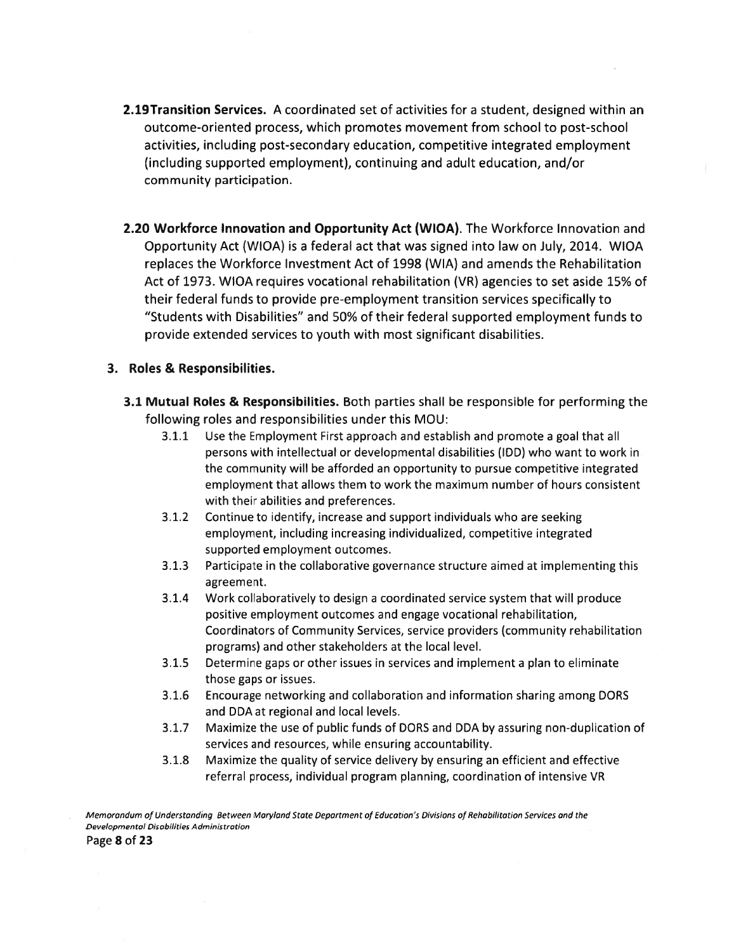- 2.l9Transition Services. A coordinated set of activities for <sup>a</sup> student, designed within an outcome-oriented process, which promotes movement from school to post-school activities, including post-secondary education, competitive integrated employment (including supported employment), continuing and adult education, and/or community participation.
- 2.20 Workforce Innovation and Opportunity Act (WIOA). The Workforce Innovation and Opportunity Act (WIOA) is <sup>a</sup> federal act that was signed into law on July, 2014. WIOA replaces the Workforce Investment Act of 1998 (WIA) and amends the Rehabilitation Act of 1973. WIOA requires vocational rehabilitation (VR) agencies to set aside 15% of their federal funds to provide pre-employment transition services specifically to "Students with Disabilities" and 50% of their federal supported employment funds to provide extended services to youth with most significant disabilities.

# 3. Roles & Responsibilities.

- **3.1 Mutual Roles & Responsibilities.** Both parties shall be responsible for performing the following roles and responsibilities under this MOU:
	- 3.1.1 Use the Employment First approach and establish and promote <sup>a</sup> goal that all persons with intellectual or developmental disabilities (IDD) who want to work in the community will be afforded an opportunity to pursue competitive integrated employment that allows them to work the maximum number of hours consistent with their abilities and preferences.
	- 3.1.2 Continue to identify, increase and suppor<sup>t</sup> individuals who are seeking employment, including increasing individualized, competitive integrated supported employment outcomes.
	- 3.1.3 Participate in the collaborative governance structure aimed at implementing this agreement.
	- 3.1.4 Work collaboratively to design <sup>a</sup> coordinated service system that will produce positive employment outcomes and engage vocational rehabilitation, Coordinators of Community Services, service providers (community rehabilitation programs) and other stakeholders at the local level.
	- 3.1.5 Determine gaps or other issues in services and implement <sup>a</sup> plan to eliminate those gaps or issues.
	- 3.1.6 Encourage networking and collaboration and information sharing among DORS and DDA at regional and local levels.
	- 3.1.7 Maximize the use of public funds of DORS and DDA by assuring non-duplication of services and resources, while ensuring accountability.
	- 3.1.8 Maximize the quality of service delivery by ensuring an efficient and effective referral process, individual program planning, coordination of intensive VR

Memorandum of tin derstanding Between Mary/and State Department of Education's Divisions of Rehabilitation Services and the Developmental Disabilities Administration

Page 8 of 23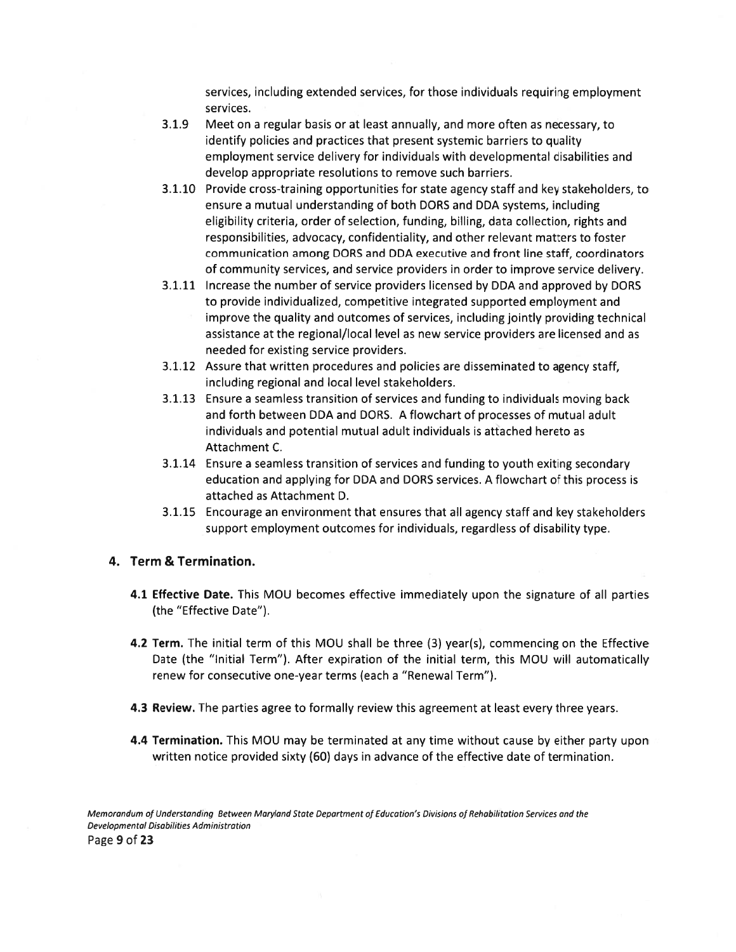services, including extended services, for those individuals requiring employment services.

- 3.1.9 Meet on <sup>a</sup> regular basis or at least annually, and more often as necessary, to identify policies and practices that presen<sup>t</sup> systemic barriers to quality employment service delivery for individuals with developmental disabilities and develop appropriate resolutions to remove such barriers.
- 3.1.10 Provide cross-training opportunities for state agency staff and key stakeholders, to ensure <sup>a</sup> mutual understanding of both DORS and DDA systems, including eligibility criteria, order of selection, funding, billing, data collection, rights and responsibilities, advocacy, confidentiality, and other relevant matters to foster communication among DORS and DDA executive and front line staff, coordinators of community services, and service providers in order to improve service delivery.
- 3.1.11 Increase the number of service providers licensed by DDA and approved by DORS to provide individualized, competitive integrated supported employment and improve the quality and outcomes of services, including jointly providing technical assistance at the regional/local level as new service providers are licensed and as needed for existing service providers.
- 3.1.12 Assure that written procedures and policies are disseminated to agency staff, including regional and local level stakeholders.
- 3.1.13 Ensure <sup>a</sup> seamless transition of services and funding to individuals moving back and forth between DDA and DORS. A flowchart of processes of mutual adult individuals and potential mutual adult individuals is attached hereto as Attachment C.
- 3.1.14 Ensure <sup>a</sup> seamless transition of services and funding to youth exiting secondary education and applying for DDA and DORS services. A flowchart of this process is attached as Attachment D.
- 3.1.15 Encourage an environment that ensures that all agency staff and key stakeholders suppor<sup>t</sup> employment outcomes for individuals, regardless of disability type.

# 4. Term & Termination.

- 4.1 Effective Date. This MOU becomes effective immediately upon the signature of all parties (the "Effective Date").
- 4.2 Term. The initial term of this MOU shall be three (3) year(s), commencing on the Effective Date (the "Initial Term"). After expiration of the initial term, this MOU will automatically renew for consecutive one-year terms (each <sup>a</sup> "Renewal Term").
- 4.3 Review. The parties agree to formally review this agreement at least every three years.
- 4.4 Termination. This MOU may be terminated at any time without cause by either party upon written notice provided sixty (60) days in advance of the effective date of termination.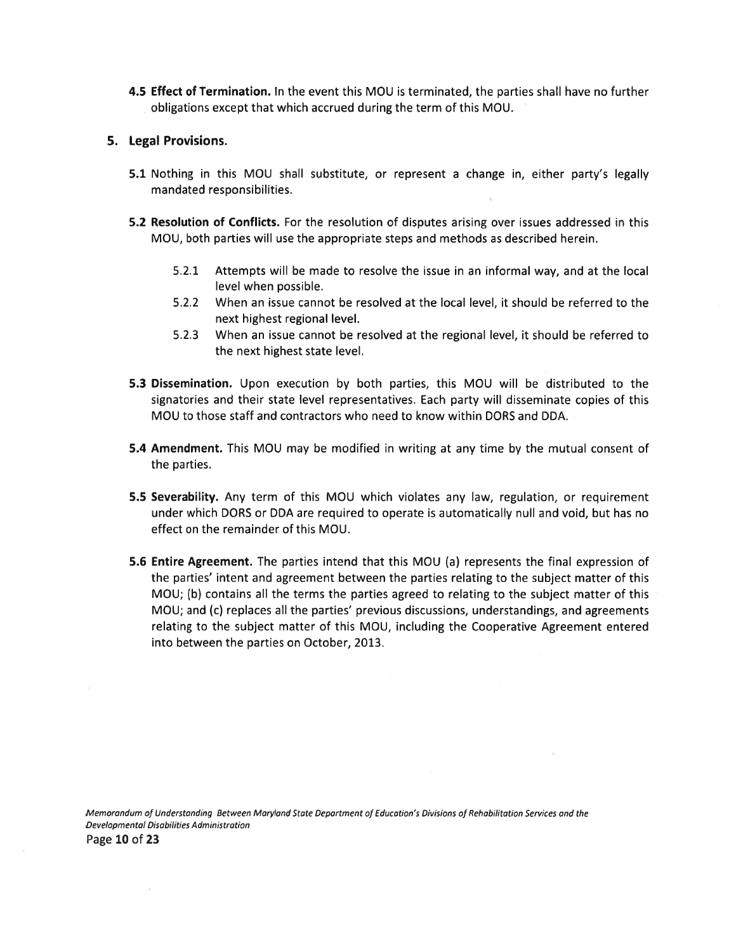4.5 Effect of Termination. In the event this MOU is terminated, the parties shall have no further obligations excep<sup>t</sup> that which accrued during the term of this MOU.

# 5. Legal Provisions.

- 5.1 Nothing in this MOU shall substitute, or represen<sup>t</sup> <sup>a</sup> change in, either party's legally mandated responsibilities.
- 5.2 Resolution of Conflicts. For the resolution of disputes arising over issues addressed in this MOU, both parties will use the appropriate steps and methods as described herein.
	- 5.2.1 Attempts will be made to resolve the issue in an informal way, and at the local level when possible.
	- 5.2.2 When an issue cannot be resolved at the local level, it should be referred to the next highest regional level.
	- 5.2.3 When an issue cannot be resolved at the regional level, it should be referred to the next highest state level.
- 5.3 Dissemination. Upon execution by both parties, this MOU will be distributed to the signatories and their state level representatives. Each party will disseminate copies of this MOU to those staff and contractors who need to know within DORS and DDA.
- 5.4 Amendment. This MOU may be modified in writing at any time by the mutual consent of the parties.
- 5.5 Severability. Any term of this MOU which violates any law, regulation, or requirement under which DORS or DDA are required to operate is automatically null and void, but has no effect on the remainder of this MOU.
- 5.6 Entire Agreement. The parties intend that this MOU (a) represents the final expression of the parties' intent and agreemen<sup>t</sup> between the parties relating to the subject matter of this MOU; (b) contains all the terms the parties agreed to relating to the subject matter of this MOU; and (c) replaces all the parties' previous discussions, understandings, and agreements relating to the subject matter of this MOU, including the Cooperative Agreement entered into between the parties on October, 2013.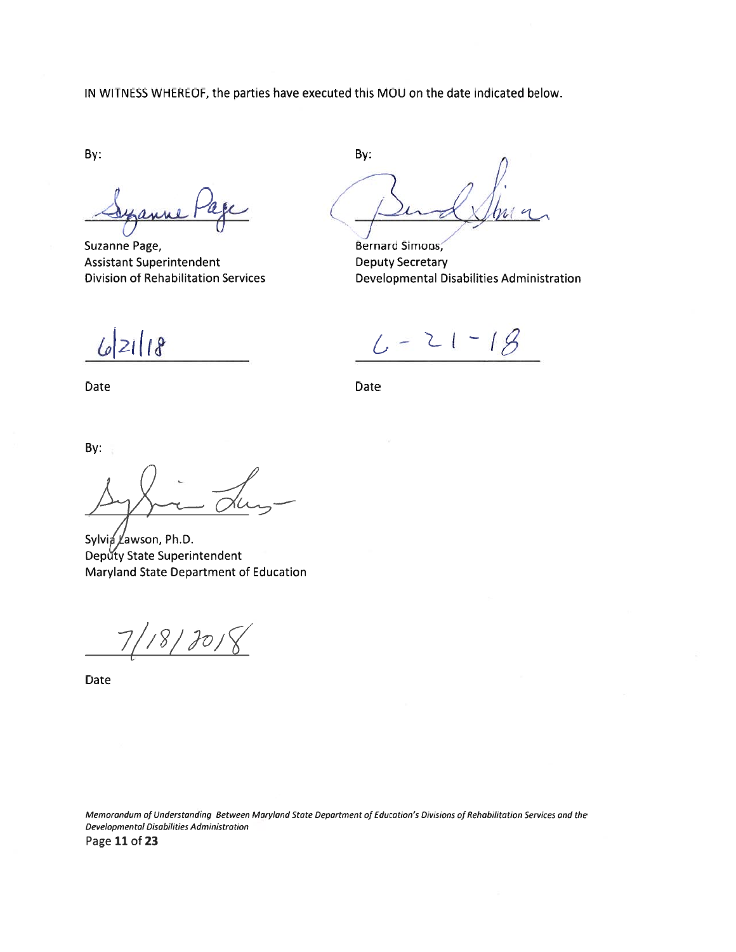IN WITNESS WHEREOF, the parties have executed this MOU on the date indicated below.

By:

Suzanne Page, The Communication of Bernard Simons, Assistant Superintendent **Deputy Secretary** 

By:

Division of Rehabilitation Services Developmental Disabilities Administration

 $6|21|18$   $6-21-18$ 

Date Date

By:

Sylvia Lawson, Ph.D. Deputy State Superintendent Maryland State Department of Education

 $7/18/30/\sqrt{8}$ 

Date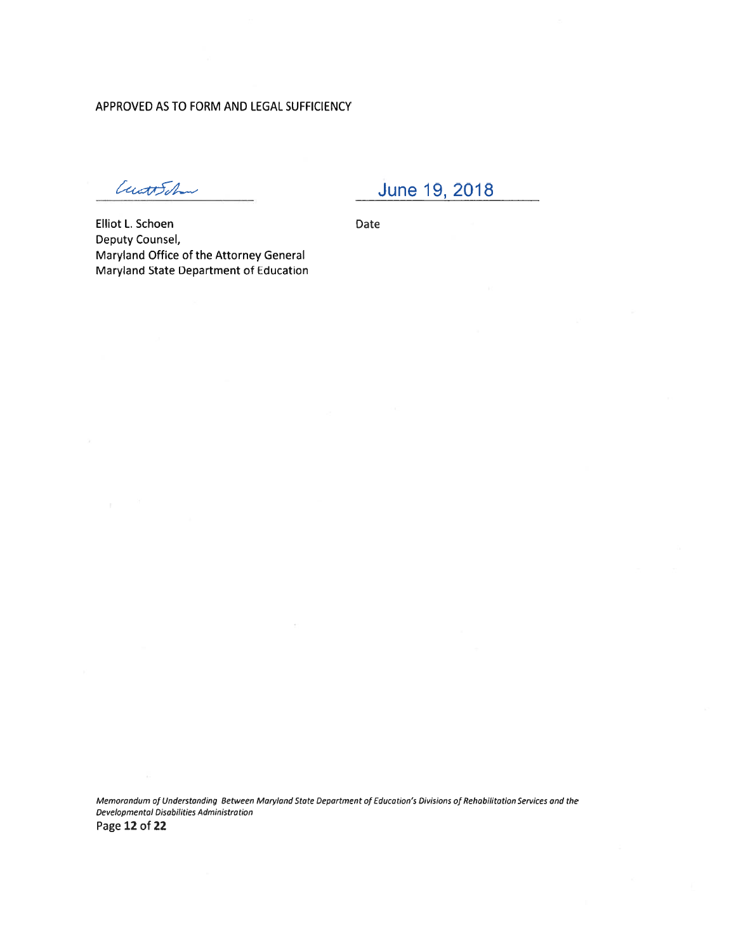# APPROVED AS TO FORM AND LEGAL SUFFICIENCY

CuttSchw

June 19, 2018

Elliot L. Schoen Date Deputy Counsel, Maryland Office of the Attorney General Maryland State Department of Education

Memorandum of Understanding Between Maryland State Department of Education's Divisions of Rehabilitation Services and the Developmental Disabilities Administration Page 12 of 22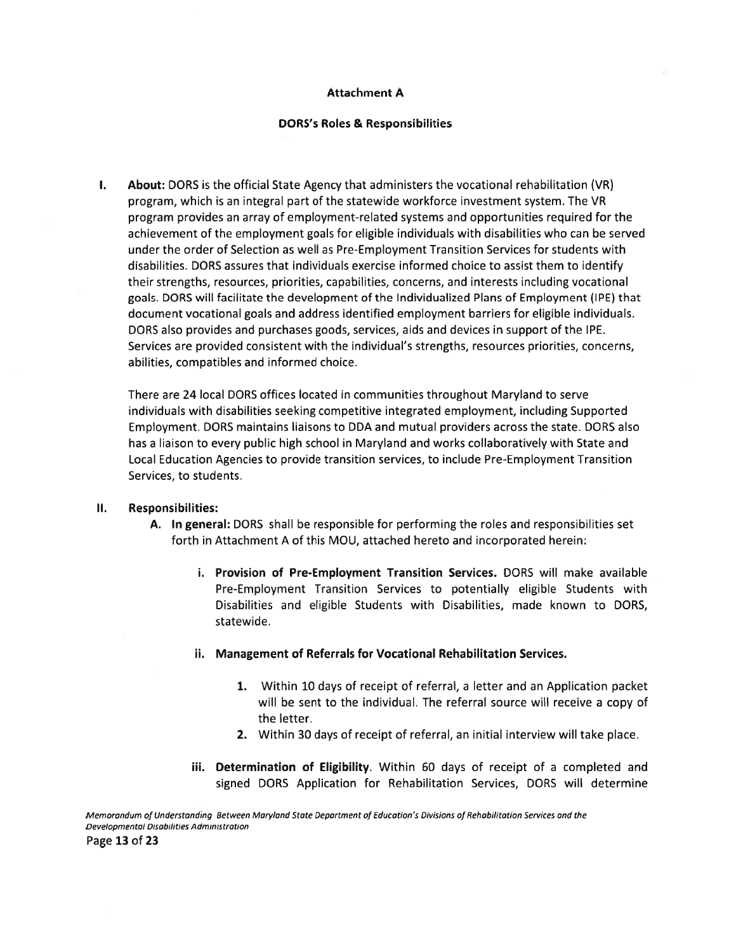# Attachment A

# DORS's Roles & Responsibilities

 $\mathbf{I}$ . About: DORS is the official State Agency that administers the vocational rehabilitation (VR) program, which is an integral par<sup>t</sup> of the statewide workforce investment system. The VR program provides an array of employment-related systems and opportunities required for the achievement of the employment goals for eligible individuals with disabilities who can be served under the order of Selection as well as Pre-Employment Transition Services for students with disabilities. DORS assures that individuals exercise informed choice to assist them to identify their strengths, resources, priorities, capabilities, concerns, and interests including vocational goals. DORS will facilitate the development of the Individualized Plans of Employment (IPE) that document vocational goals and address identified employment barriers for eligible individuals. DORS also provides and purchases goods, services, aids and devices in suppor<sup>t</sup> of the IPE. Services are provided consistent with the individual's strengths, resources priorities, concerns, abilities, compatibles and informed choice.

There are 24 local DORS offices located in communities throughout Maryland to serve individuals with disabilities seeking competitive integrated employment, including Supported Employment. DORS maintains liaisons to DDA and mutual providers across the state. DORS also has <sup>a</sup> liaison to every public high school in Maryland and works collaboratively with State and Local Education Agencies to provide transition services, to include Pre-Employment Transition Services, to students.

## II. Responsibilities:

- A. In general: DORS shall be responsible for performing the roles and responsibilities set forth in Attachment A of this MOU, attached hereto and incorporated herein:
	- i. Provision of Pre-Employment Transition Services. DORS will make available Pre-Employment Transition Services to potentially eligible Students with Disabilities and eligible Students with Disabilities, made known to DORS, statewide.
	- ii. Management of Referrals for Vocational Rehabilitation Services.
		- 1. Within 10 days of receipt of referral, <sup>a</sup> letter and an Application packet will be sent to the individual. The referral source will receive <sup>a</sup> copy of the letter.
		- 2. Within 30 days of receipt of referral, an initial interview will take place.
	- iii. Determination of Eligibility. Within 60 days of receipt of <sup>a</sup> completed and signed DORS Application for Rehabilitation Services, DORS will determine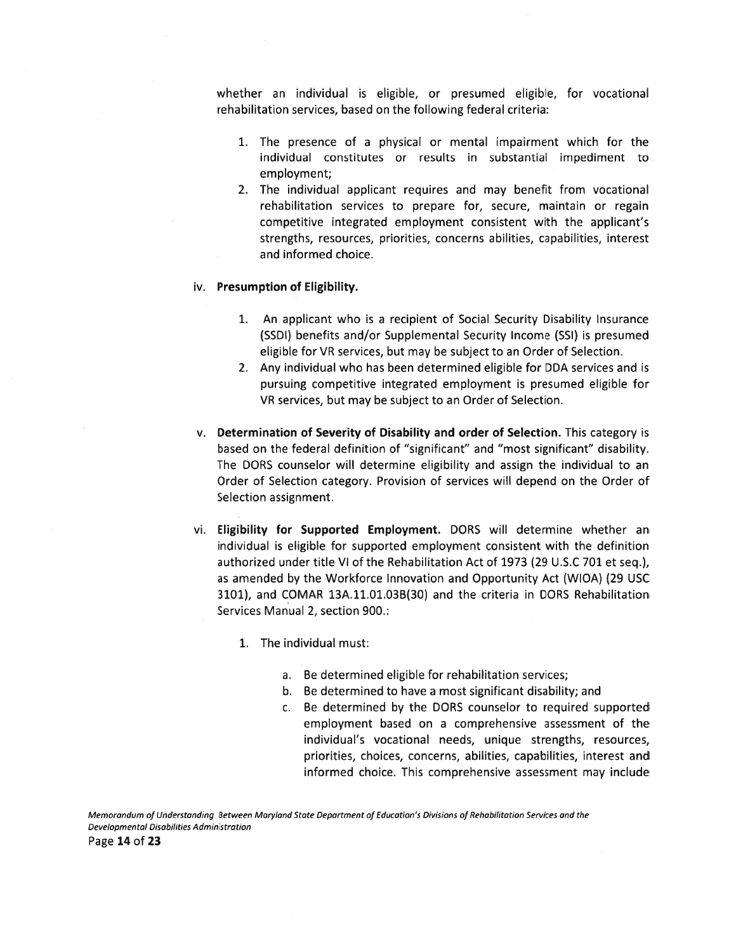whether an individual is eligible, or presumed eligible, for vocational rehabilitation services, based on the following federal criteria:

- 1. The presence of <sup>a</sup> physical or mental impairment which for the individual constitutes or results in substantial impediment to employment;
- 2. The individual applicant requires and may benefit from vocational rehabilitation services to prepare for, secure, maintain or regain competitive integrated employment consistent with the applicant's strengths, resources, priorities, concerns abilities, capabilities, interest and informed choice.

### iv. Presumption of Eligibility.

- 1. An applicant who is <sup>a</sup> recipient of Social Security Disability Insurance (SSDI) benefits and/or Supplemental Security Income (SSI) is presumed eligible for VR services, but may be subject to an Order of Selection.
- 2. Any individual who has been determined eligible for DDA services and is pursuing competitive integrated employment is presumed eligible for VR services, but may be subject to an Order of Selection.
- v. Determination of Severity of Disability and order of Selection. This category is based on the federal definition of "significant" and "most significant" disability. The DORS counselor will determine eligibility and assign the individual to an Order of Selection category. Provision of services will depend on the Order of Selection assignment.
- vi. Eligibility for Supported Employment. DORS will determine whether an individual is eligible for supported employment consistent with the definition authorized under title VI of the Rehabilitation Act of 1973 (29 U.S.C 701 et seq.), as amended by the Workforce Innovation and Opportunity Act (WIOA) (29 USC 3101), and COMAR 13A.11.01.03B(30) and the criteria in DORS Rehabilitation Services Manual 2, section 900.:
	- 1. The individual must:
		- a. Be determined eligible for rehabilitation services;
		- b. Be determined to have <sup>a</sup> most significant disability; and
		- c. Be determined by the DORS counselor to required supported employment based on <sup>a</sup> comprehensive assessment of the individual's vocational needs, unique strengths, resources, priorities, choices, concerns, abilities, capabilities, interest and informed choice. This comprehensive assessment may include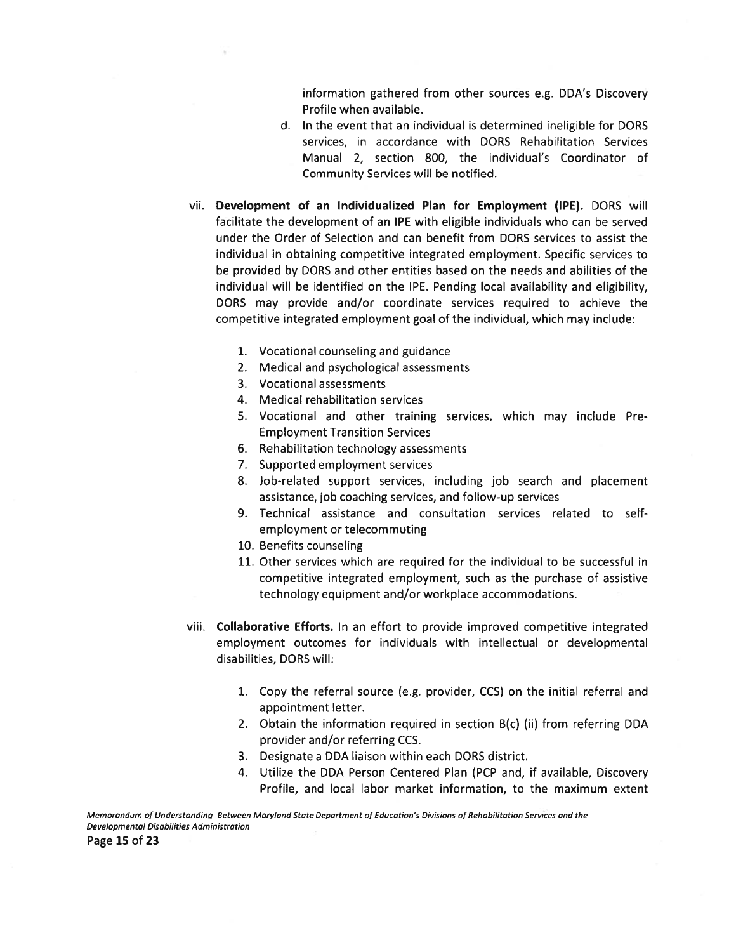information gathered from other sources e.g. DDA's Discovery Profile when available.

- d. In the event that an individual is determined ineligible for DORS services, in accordance with DORS Rehabilitation Services Manual 2, section 800, the individual's Coordinator of Community Services will be notified.
- vii. Development of an Individualized Plan for Employment (IPE). DORS will facilitate the development of an IPE with eligible individuals who can be served under the Order of Selection and can benefit from DORS services to assist the individual in obtaining competitive integrated employment. Specific services to be provided by DORS and other entities based on the needs and abilities of the individual will be identified on the IPE. Pending local availability and eligibility, DORS may provide and/or coordinate services required to achieve the competitive integrated employment goal of the individual, which may include:
	- 1. Vocational counseling and guidance
	- 2. Medical and psychological assessments
	- 3. Vocational assessments
	- 4. Medical rehabilitation services
	- 5. Vocational and other training services, which may include Pre Employment Transition Services
	- 6. Rehabilitation technology assessments
	- 7. Supported employment services
	- 8. Job-related suppor<sup>t</sup> services, including job search and placement assistance, job coaching services, and follow-up services
	- 9. Technical assistance and consultation services related to selfemployment or telecommuting
	- 10. Benefits counseling
	- 11. Other services which are required for the individual to be successful in competitive integrated employment, such as the purchase of assistive technology equipment and/or workplace accommodations.
- viii. Collaborative Efforts. In an effort to provide improved competitive integrated employment outcomes for individuals with intellectual or developmental disabilities, DORS will:
	- 1. Copy the referral source (e.g. provider, CCS) on the initial referral and appointment letter.
	- 2. Obtain the information required in section B(c) (ii) from referring DDA provider and/or referring CCS.
	- 3. Designate <sup>a</sup> DDA liaison within each DORS district.
	- 4. Utilize the DDA Person Centered Plan (PCP and, if available, Discovery Profile, and local labor market information, to the maximum extent

Memorandum of Understanding Between Maryland State Department of Education's Divisions of Rehabilitation Services and the Developmental Disabilities Administration

Page 15 of 23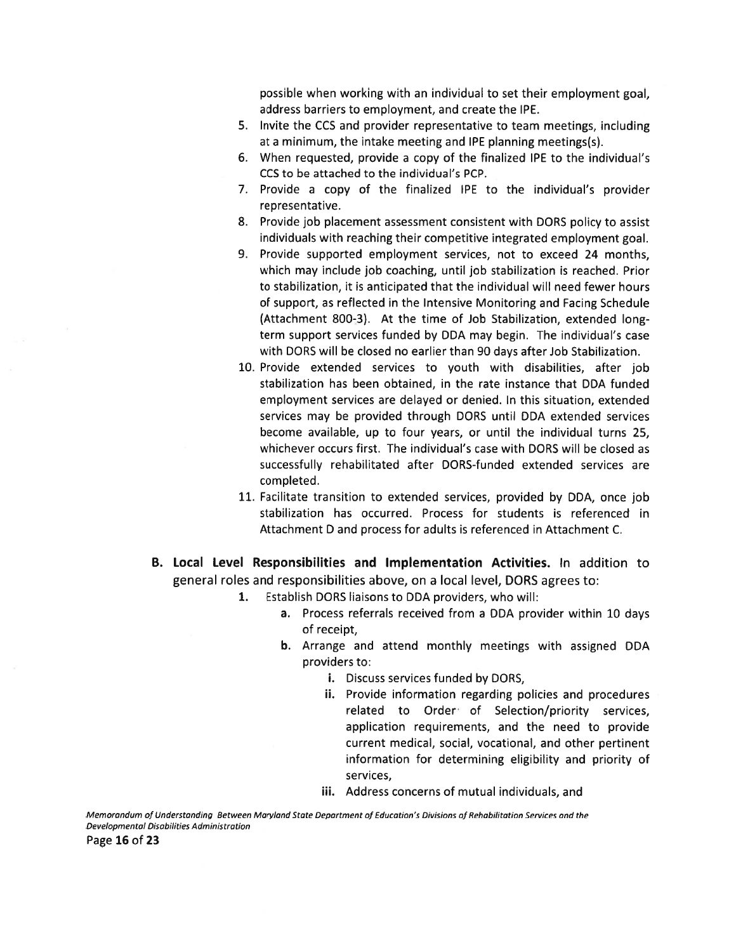possible when working with an individual to set their employment goal, address barriers to employment, and create the IPE.

- 5. Invite the CCS and provider representative to team meetings, including at <sup>a</sup> minimum, the intake meeting and IPE planning meetings(s).
- 6. When requested, provide <sup>a</sup> copy of the finalized IPE to the individual's CCS to be attached to the individual's PCP.
- 7. Provide <sup>a</sup> copy of the finalized IPE to the individual's provider representative.
- 8. Provide job placement assessment consistent with DORS policy to assist individuals with reaching their competitive integrated employment goal.
- 9. Provide supported employment services, not to exceed 24 months, which may include job coaching, until job stabilization is reached. Prior to stabilization, it is anticipated that the individual will need fewer hours of support, as reflected in the Intensive Monitoring and Facing Schedule (Attachment 800-3). At the time of Job Stabilization, extended longterm suppor<sup>t</sup> services funded by DDA may begin. The individual's case with DORS will be closed no earlier than 90 days after Job Stabilization.
- 10. Provide extended services to youth with disabilities, after job stabilization has been obtained, in the rate instance that DDA funded employment services are delayed or denied. In this situation, extended services may be provided through DORS until DDA extended services become available, up to four years, or until the individual turns 25, whichever occurs first. The individual's case with DORS will be closed as successfully rehabilitated after DORS-funded extended services are completed.
- 11. Facilitate transition to extended services, provided by DDA, once job stabilization has occurred. Process for students is referenced in Attachment D and process for adults is referenced in Attachment C.
- B. Local Level Responsibilities and Implementation Activities. In addition to general roles and responsibilities above, on <sup>a</sup> local level, DORS agrees to:
	- 1. Establish DORS liaisons to DDA providers, who will:
		- a. Process referrals received from <sup>a</sup> DDA provider within 10 days of receipt,
		- b. Arrange and attend monthly meetings with assigned DDA providers to:
			- i. Discuss services funded by DORS,
			- ii. Provide information regarding policies and procedures related to Order<sup>®</sup> of Selection/priority services, application requirements, and the need to provide current medical, social, vocational, and other pertinent information for determining eligibility and priority of services,
			- iii. Address concerns of mutual individuals, and

Memorandum of Understanding Between Mary/and State Department of Education's Divisions of Rehabilitation Services and the Developmental Disabilities Administration Page 16 of 23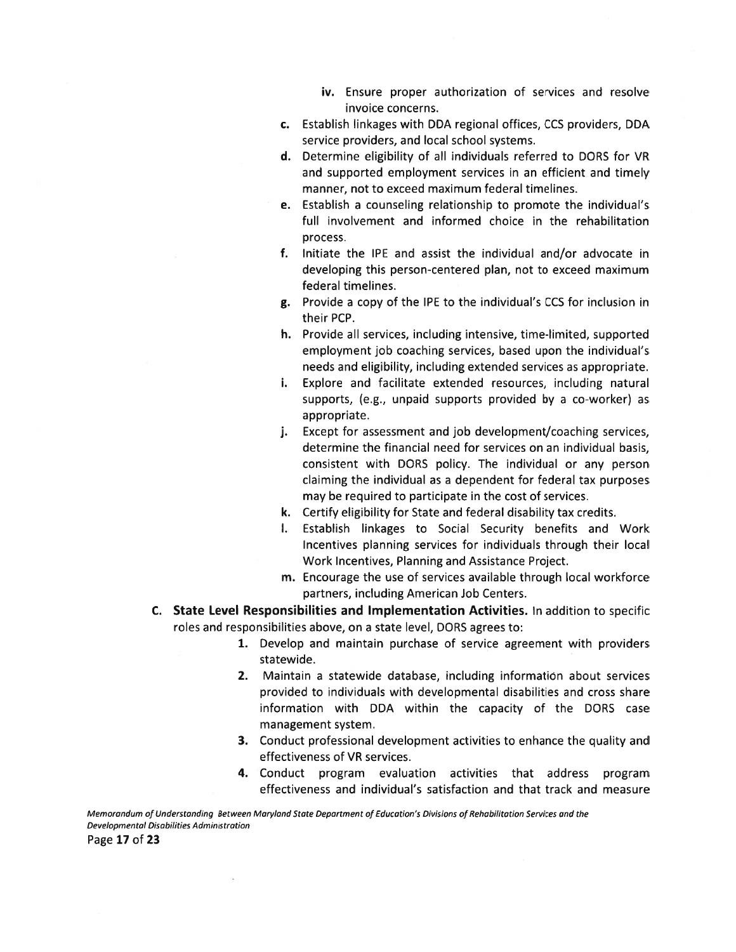- iv. Ensure proper authorization of services and resolve invoice concerns.
- c. Establish linkages with DDA regional offices, CCS providers, DDA service providers, and local school systems.
- d. Determine eligibility of all individuals referred to DORS for VR and supported employment services in an efficient and timely manner, not to exceed maximum federal timelines.
- e. Establish <sup>a</sup> counseling relationship to promote the individual's full involvement and informed choice in the rehabilitation process.
- f. Initiate the IPE and assist the individual and/or advocate in developing this person-centered plan, not to exceed maximum federal timelines.
- g. Provide <sup>a</sup> copy of the IPE to the individual's CCS for inclusion in their PCP.
- h. Provide all services, including intensive, time-limited, supported employment job coaching services, based upon the individual's needs and eligibility, including extended services as appropriate.
- i. Explore and facilitate extended resources, including natural supports, (e.g., unpaid supports provided by <sup>a</sup> co-worker) as appropriate.
- j. Except for assessment and job development/coaching services, determine the financial need for services on an individual basis, consistent with DORS policy. The individual or any person claiming the individual as <sup>a</sup> dependent for federal tax purposes may be required to participate in the cost of services.
- k. Certify eligibility for State and federal disability tax credits.
- I. Establish linkages to Social Security benefits and Work Incentives planning services for individuals through their local Work Incentives, Planning and Assistance Project.
- m. Encourage the use of services available through local workforce partners, including American Job Centers.
- C. State Level Responsibilities and Implementation Activities. In addition to specific roles and responsibilities above, on <sup>a</sup> state level, DORS agrees to:
	- 1. Develop and maintain purchase of service agreemen<sup>t</sup> with providers statewide.
	- 2. Maintain <sup>a</sup> statewide database, including information about services provided to individuals with developmental disabilities and cross share information with DDA within the capacity of the DORS case management system.
	- 3. Conduct professional development activities to enhance the quality and effectiveness of VR services.
	- 4. Conduct program evaluation activities that address program effectiveness and individual's satisfaction and that track and measure

Memorandum of Understanding Between Maryland State Department of Education's Divisions of Rehabilitation Services and the Developmental Disabilities Administration

Page 17 of 23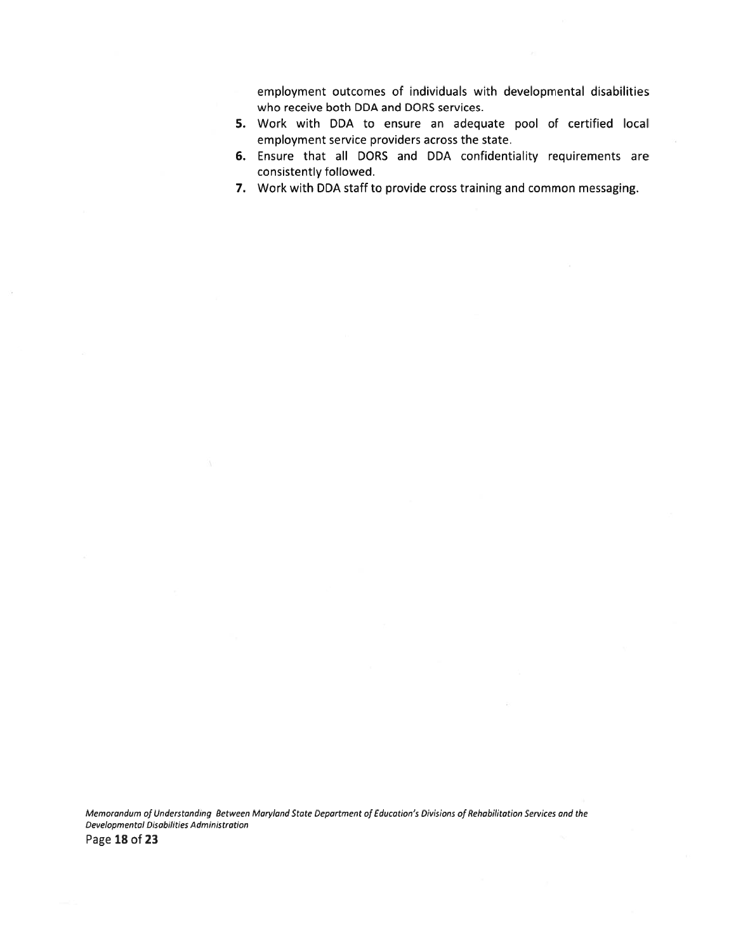employment outcomes of individuals with developmental disabilities who receive both DDA and DORS services.

- 5. Work with DDA to ensure an adequate pooi of certified local employment service providers across the state.
- 6. Ensure that all DORS and DDA confidentiality requirements are consistently followed.
- 7. Work with DDA staff to provide cross training and common messaging.

Memorandum of Understanding Between Maryland State Department of Education's Divisions of Rehabilitation Services and the Developmental Disabilities Administration

Page 18 of 23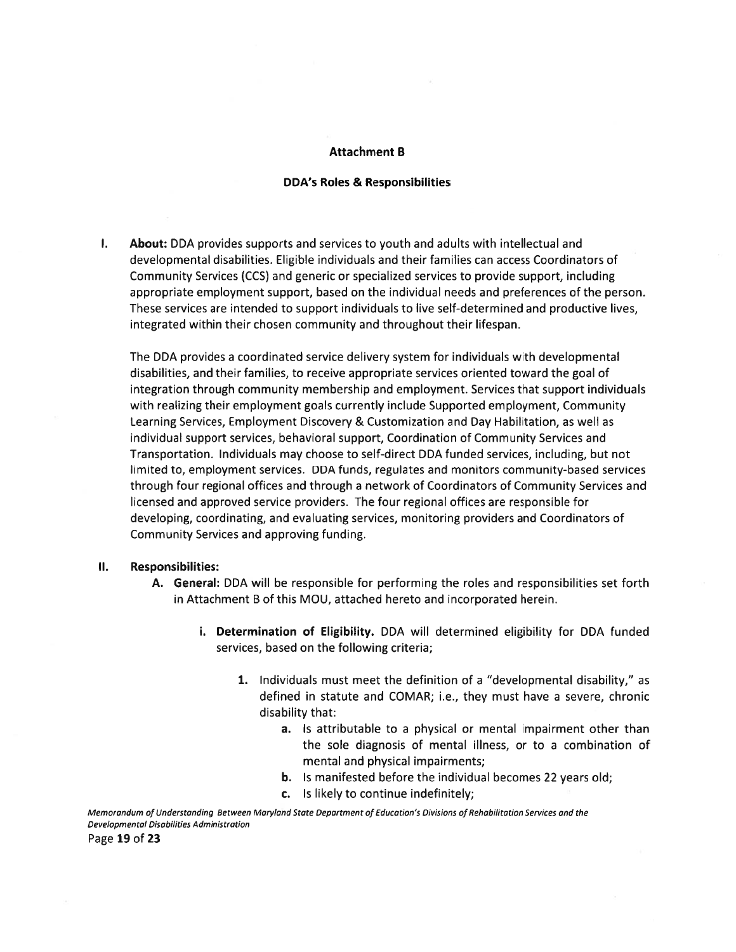#### Attachment B

#### DDA's Roles & Responsibilities

 $\mathbf{I}$ . About: DDA provides supports and services to youth and adults with intellectual and developmental disabilities. Eligible individuals and their families can access Coordinators of Community Services (CCS) and generic or specialized services to provide support, including appropriate employment support, based on the individual needs and preferences of the person. These services are intended to suppor<sup>t</sup> individuals to live self-determined and productive lives, integrated within their chosen community and throughout their lifespan.

The DDA provides <sup>a</sup> coordinated service delivery system for individuals with developmental disabilities, and their families, to receive appropriate services oriented toward the goal of integration through community membership and employment. Services that suppor<sup>t</sup> individuals with realizing their employment goals currently include Supported employment, Community Learning Services, Employment Discovery & Customization and Day Habilitation, as well as individual suppor<sup>t</sup> services, behavioral support, Coordination of Community Services and Transportation. Individuals may choose to self-direct DDA funded services, including, but not limited to, employment services. DDA funds, regulates and monitors community-based services through four regional offices and through <sup>a</sup> network of Coordinators of Community Services and licensed and approved service providers. The four regional offices are responsible for developing, coordinating, and evaluating services, monitoring providers and Coordinators of Community Services and approving funding.

#### II. Responsibilities:

- A. General: DDA will be responsible for performing the roles and responsibilities set forth in Attachment B of this MOU, attached hereto and incorporated herein.
	- i. Determination of Eligibility. DDA will determined eligibility for DDA funded services, based on the following criteria;
		- 1. Individuals must meet the definition of <sup>a</sup> "developmental disability," as defined in statute and COMAR; i.e., they must have <sup>a</sup> severe, chronic disability that:
			- a. Is attributable to <sup>a</sup> physical or mental impairment other than the sole diagnosis of mental illness, or to <sup>a</sup> combination of mental and physical impairments;
			- b. Is manifested before the individual becomes 22 years old;
			- c. Is likely to continue indefinitely;

Memorandum of Understanding Between Maryland State Department of Education's Divisions of Rehabilitation Services and the Developmental Disabilities Administration

Page 19 of 23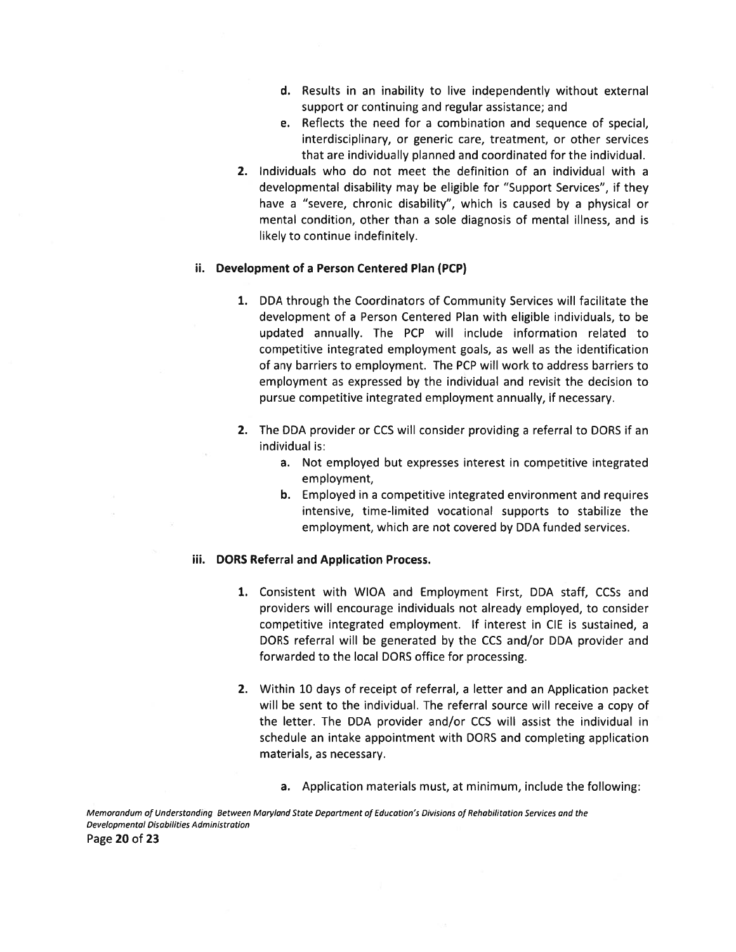- d. Results in an inability to live independently without external suppor<sup>t</sup> or continuing and regular assistance; and
- e. Reflects the need for <sup>a</sup> combination and sequence of special, interdisciplinary, or generic care, treatment, or other services that are individually planned and coordinated for the individual.
- 2. Individuals who do not meet the definition of an individual with <sup>a</sup> developmental disability may be eligible for "Support Services", if they have <sup>a</sup> "severe, chronic disability", which is caused by <sup>a</sup> physical or mental condition, other than <sup>a</sup> sole diagnosis of mental illness, and is likely to continue indefinitely.

#### ii. Development of <sup>a</sup> Person Centered Plan (PCP)

- 1. DDA through the Coordinators of Community Services will facilitate the development of <sup>a</sup> Person Centered Plan with eligible individuals, to be updated annually. The PCP will include information related to competitive integrated employment goals, as well as the identification of any barriers to employment. The PCP will work to address barriers to employment as expressed by the individual and revisit the decision to pursue competitive integrated employment annually, if necessary.
- 2. The DDA provider or CCS will consider providing <sup>a</sup> referral to DORS if an individual is:
	- a. Not employed but expresses interest in competitive integrated employment,
	- b. Employed in <sup>a</sup> competitive integrated environment and requires intensive, time-limited vocational supports to stabilize the employment, which are not covered by DDA funded services.

#### iii. DORS Referral and Application Process.

- 1. Consistent with WIOA and Employment First, DDA staff, CCSs and providers will encourage individuals not already employed, to consider competitive integrated employment. If interest in CIE is sustained, <sup>a</sup> DORS referral will be generated by the CCS and/or DDA provider and forwarded to the local DORS office for processing.
- 2. Within 10 days of receipt of referral, <sup>a</sup> letter and an Application packet will be sent to the individual. The referral source will receive <sup>a</sup> copy of the letter. The DDA provider and/or CCS will assist the individual in schedule an intake appointment with DORS and completing application materials, as necessary.
	- a. Application materials must, at minimum, include the following:

Memorandum of Understanding Between Mary/and State Department of Education's Divisions of Rehabilitation Services and the Developmental Disabilities Administration Page 20 of 23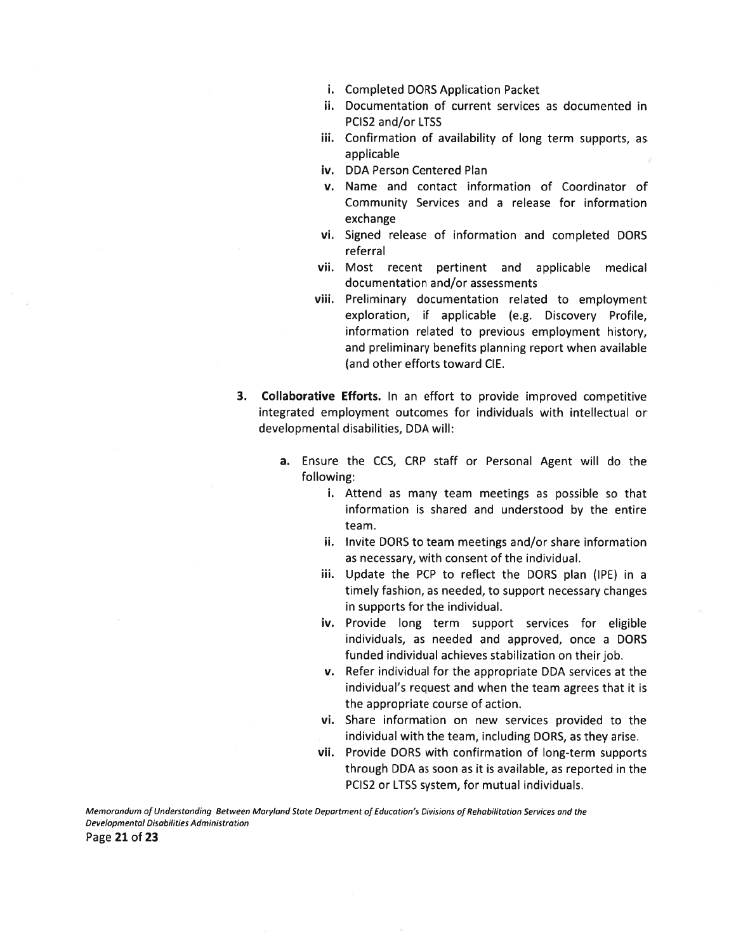- i. Completed DORS Application Packet
- ii. Documentation of current services as documented in PCIS2 and/or LTSS
- iii. Confirmation of availability of long term supports, as applicable
- iv. DDA Person Centered Plan
- v. Name and contact information of Coordinator of Community Services and <sup>a</sup> release for information exchange
- vi. Signed release of information and completed DORS referral
- vii. Most recent pertinent and applicable medical documentation and/or assessments
- viii. Preliminary documentation related to employment exploration, if applicable (e.g. Discovery Profile, information related to previous employment history, and preliminary benefits planning repor<sup>t</sup> when available (and other efforts toward CIE.
- 3. Collaborative Efforts. In an effort to provide improved competitive integrated employment outcomes for individuals with intellectual or developmental disabilities, DDA will:
	- a. Ensure the CCS, CRP staff or Personal Agent will do the following:
		- i. Attend as many team meetings as possible so that information is shared and understood by the entire team.
		- ii. Invite DORS to team meetings and/or share information as necessary, with consent of the individual.
		- iii. Update the PCP to reflect the DORS plan (IPE) in a timely fashion, as needed, to suppor<sup>t</sup> necessary changes in supports for the individual.
		- iv. Provide long term suppor<sup>t</sup> services for eligible individuals, as needed and approved, once <sup>a</sup> DORS funded individual achieves stabilization on their job.
		- v. Refer individual for the appropriate DDA services at the individual's reques<sup>t</sup> and when the team agrees that it is the appropriate course of action.
		- vi. Share information on new services provided to the individual with the team, including DORS, as they arise.
		- vii. Provide DORS with confirmation of long-term supports through DDA as soon as it is available, as reported in the PCIS2 or LTSS system, for mutual individuals.

Memorandum of Understanding Between Maryland State Department of Education's Divisians of Rehabilitation Services and the Developmental Disabilities Administration Page 21 of 23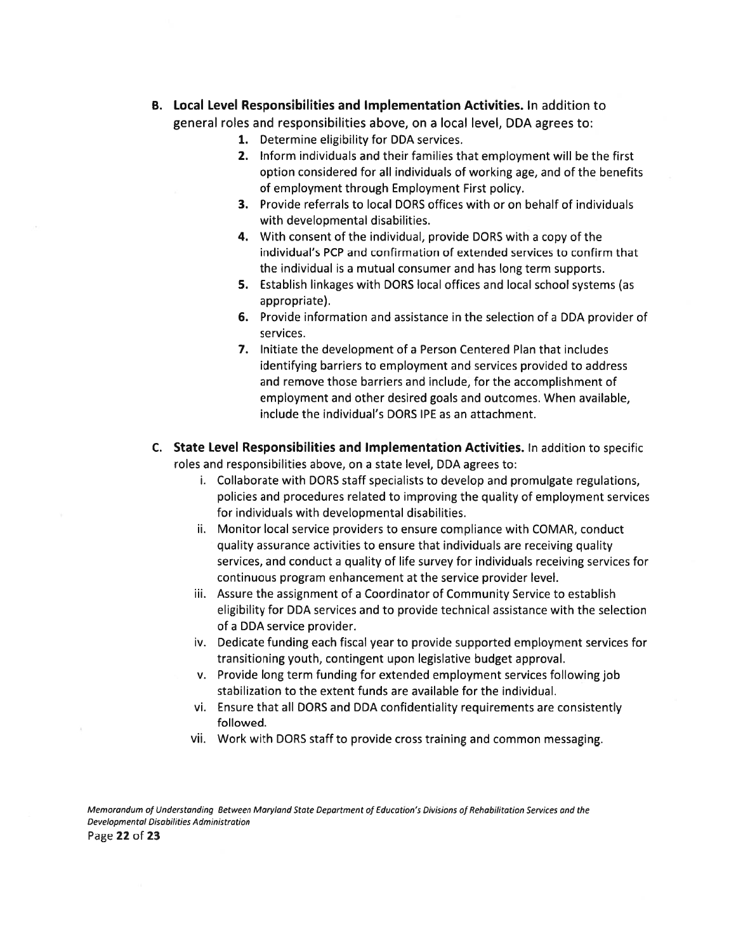- B. Local Level Responsibilities and Implementation Activities. In addition to general roles and responsibilities above, on <sup>a</sup> local level, DDA agrees to:
	- 1. Determine eligibility for DDA services.
	- 2. Inform individuals and their families that employment will be the first option considered for all individuals of working age, and of the benefits of employment through Employment First policy.
	- 3. Provide referrals to local DORS offices with or on behalf of individuals with developmental disabilities.
	- 4. With consent of the individual, provide DORS with <sup>a</sup> copy of the individual's PCP and confirmation of extended services to confirm that the individual is <sup>a</sup> mutual consumer and has long term supports.
	- 5. Establish linkages with DORS local offices and local school systems (as appropriate).
	- 6. Provide information and assistance in the selection of <sup>a</sup> DDA provider of services.
	- 7. Initiate the development of <sup>a</sup> Person Centered Plan that includes identifying barriers to employment and services provided to address and remove those barriers and include, for the accomplishment of employment and other desired goals and outcomes. When available, include the individual's DORS IPE as an attachment.
- C. State Level Responsibilities and Implementation Activities. In addition to specific roles and responsibilities above, on <sup>a</sup> state level, DDA agrees to:
	- i. Collaborate with DORS staff specialists to develop and promulgate regulations, policies and procedures related to improving the quality of employment services for individuals with developmental disabilities.
	- ii. Monitor local service providers to ensure compliance with COMAR, conduct quality assurance activities to ensure that individuals are receiving quality services, and conduct <sup>a</sup> quality of life survey for individuals receiving services for continuous program enhancement at the service provider level.
	- iii. Assure the assignment of <sup>a</sup> Coordinator of Community Service to establish eligibility for DDA services and to provide technical assistance with the selection of <sup>a</sup> DDA service provider.
	- iv. Dedicate funding each fiscal year to provide supported employment services for transitioning youth, contingent upon legislative budget approval.
	- v. Provide long term funding for extended employment services following job stabilization to the extent funds are available for the individual.
	- vi. Ensure that all DORS and DDA confidentiality requirements are consistently followed.
	- vii. Work with DORS staff to provide cross training and common messaging.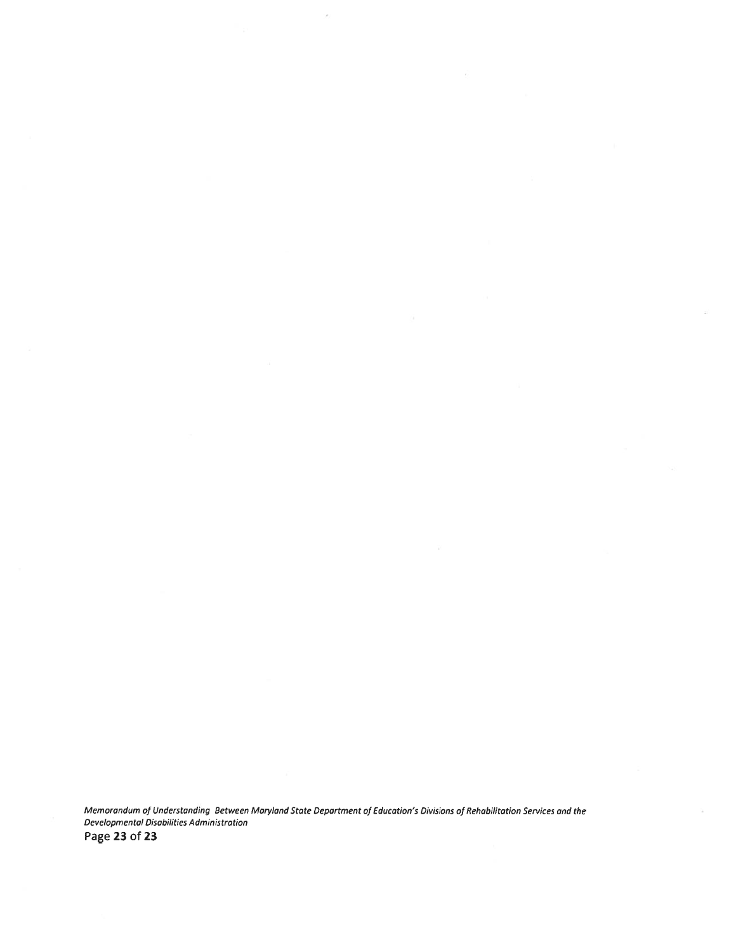Memorandum of Understanding Between Maryland State Department of Education's Divisions of Rehabilitation Services and the Developmental Disabilities Administration

Page 23 of 23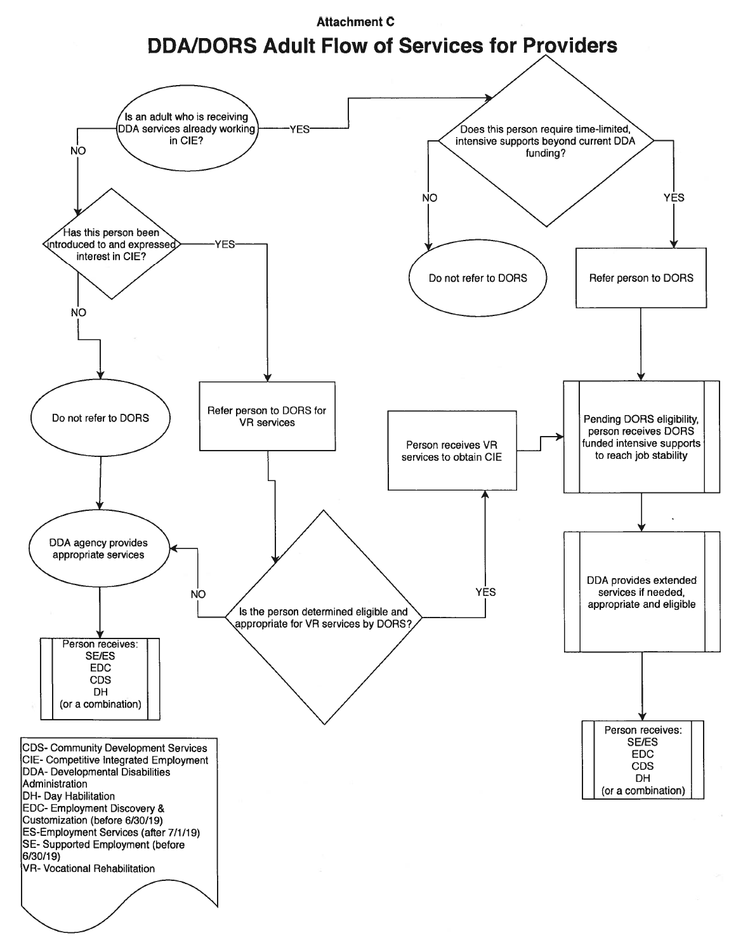